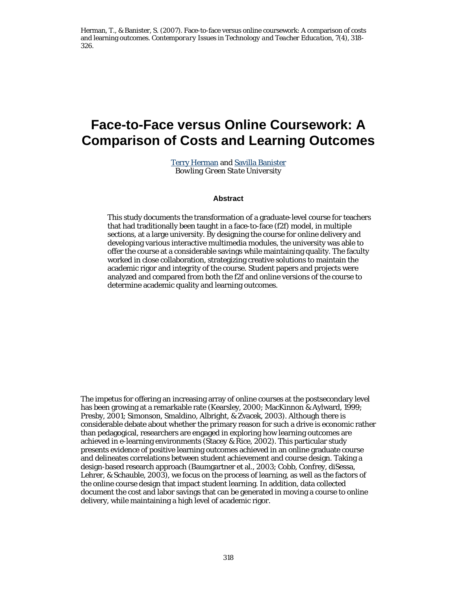Herman, T., & Banister, S. (2007). Face-to-face versus online coursework: A comparison of costs and learning outcomes. *Contemporary Issues in Technology and Teacher Education*, *7*(4), 318- 326.

# **Face-to-Face versus Online Coursework: A Comparison of Costs and Learning Outcomes**

Terry Herman and Savilla Banister *Bowling Green State University* 

#### **Abstract**

This study documents the transformation of a graduate-level course for teachers that had traditionally been taught in a face-to-face (f2f) model, in multiple sections, at a large university. By designing the course for online delivery and developing various interactive multimedia modules, the university was able to offer the course at a considerable savings while maintaining quality. The faculty worked in close collaboration, strategizing creative solutions to maintain the academic rigor and integrity of the course. Student papers and projects were analyzed and compared from both the f2f and online versions of the course to determine academic quality and learning outcomes.

The impetus for offering an increasing array of online courses at the postsecondary level has been growing at a remarkable rate (Kearsley, 2000; MacKinnon & Aylward, 1999; Presby, 2001; Simonson, Smaldino, Albright, & Zvacek, 2003). Although there is considerable debate about whether the primary reason for such a drive is economic rather than pedagogical, researchers are engaged in exploring how learning outcomes are achieved in e-learning environments (Stacey & Rice, 2002). This particular study presents evidence of positive learning outcomes achieved in an online graduate course and delineates correlations between student achievement and course design. Taking a design-based research approach (Baumgartner et al., 2003; Cobb, Confrey, diSessa, Lehrer, & Schauble, 2003), we focus on the process of learning, as well as the factors of the online course design that impact student learning. In addition, data collected document the cost and labor savings that can be generated in moving a course to online delivery, while maintaining a high level of academic rigor.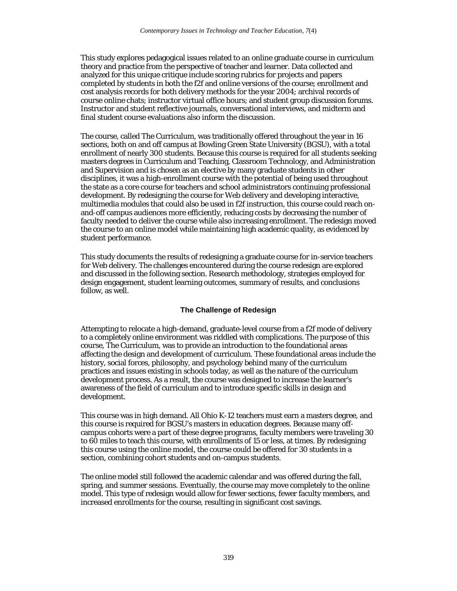This study explores pedagogical issues related to an online graduate course in curriculum theory and practice from the perspective of teacher and learner. Data collected and analyzed for this unique critique include scoring rubrics for projects and papers completed by students in both the f2f and online versions of the course; enrollment and cost analysis records for both delivery methods for the year 2004; archival records of course online chats; instructor virtual office hours; and student group discussion forums. Instructor and student reflective journals, conversational interviews, and midterm and final student course evaluations also inform the discussion.

The course, called The Curriculum, was traditionally offered throughout the year in 16 sections, both on and off campus at Bowling Green State University (BGSU), with a total enrollment of nearly 300 students. Because this course is required for all students seeking masters degrees in Curriculum and Teaching, Classroom Technology, and Administration and Supervision and is chosen as an elective by many graduate students in other disciplines, it was a high-enrollment course with the potential of being used throughout the state as a core course for teachers and school administrators continuing professional development. By redesigning the course for Web delivery and developing interactive, multimedia modules that could also be used in f2f instruction, this course could reach onand-off campus audiences more efficiently, reducing costs by decreasing the number of faculty needed to deliver the course while also increasing enrollment. The redesign moved the course to an online model while maintaining high academic quality, as evidenced by student performance.

This study documents the results of redesigning a graduate course for in-service teachers for Web delivery. The challenges encountered during the course redesign are explored and discussed in the following section. Research methodology, strategies employed for design engagement, student learning outcomes, summary of results, and conclusions follow, as well.

# **The Challenge of Redesign**

Attempting to relocate a high-demand, graduate-level course from a f2f mode of delivery to a completely online environment was riddled with complications. The purpose of this course, The Curriculum, was to provide an introduction to the foundational areas affecting the design and development of curriculum. These foundational areas include the history, social forces, philosophy, and psychology behind many of the curriculum practices and issues existing in schools today, as well as the nature of the curriculum development process. As a result, the course was designed to increase the learner's awareness of the field of curriculum and to introduce specific skills in design and development.

This course was in high demand. All Ohio K-12 teachers must earn a masters degree, and this course is required for BGSU's masters in education degrees. Because many offcampus cohorts were a part of these degree programs, faculty members were traveling 30 to 60 miles to teach this course, with enrollments of 15 or less, at times. By redesigning this course using the online model, the course could be offered for 30 students in a section, combining cohort students and on-campus students.

The online model still followed the academic calendar and was offered during the fall, spring, and summer sessions. Eventually, the course may move completely to the online model. This type of redesign would allow for fewer sections, fewer faculty members, and increased enrollments for the course, resulting in significant cost savings.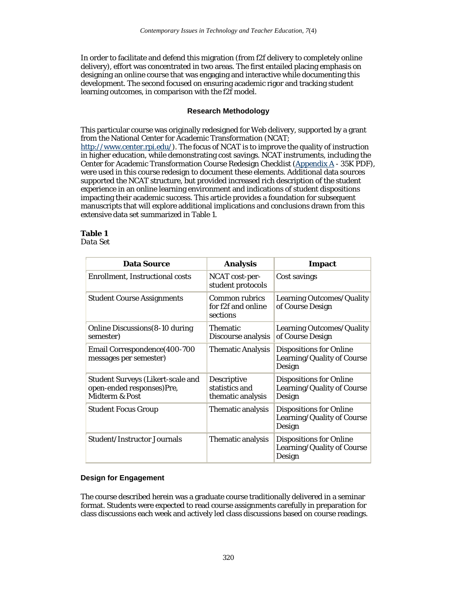In order to facilitate and defend this migration (from f2f delivery to completely online delivery), effort was concentrated in two areas. The first entailed placing emphasis on designing an online course that was engaging and interactive while documenting this development. The second focused on ensuring academic rigor and tracking student learning outcomes, in comparison with the f2f model.

# **Research Methodology**

This particular course was originally redesigned for Web delivery, supported by a grant from the National Center for Academic Transformation (NCAT; http://www.center.rpi.edu/). The focus of NCAT is to improve the quality of instruction in higher education, while demonstrating cost savings. NCAT instruments, including the Center for Academic Transformation Course Redesign Checklist (Appendix A - 35K PDF), were used in this course redesign to document these elements. Additional data sources supported the NCAT structure, but provided increased rich description of the student experience in an online learning environment and indications of student dispositions impacting their academic success. This article provides a foundation for subsequent manuscripts that will explore additional implications and conclusions drawn from this extensive data set summarized in Table 1.

# **Table 1**

#### *Data Set*

| <b>Data Source</b>                                                                      | <b>Analysis</b>                                    | Impact                                                                 |
|-----------------------------------------------------------------------------------------|----------------------------------------------------|------------------------------------------------------------------------|
| <b>Enrollment, Instructional costs</b>                                                  | NCAT cost-per-<br>student protocols                | Cost savings                                                           |
| <b>Student Course Assignments</b>                                                       | Common rubrics<br>for f2f and online<br>sections   | Learning Outcomes/Quality<br>of Course Design                          |
| Online Discussions (8-10 during<br>semester)                                            | <b>Thematic</b><br>Discourse analysis              | Learning Outcomes/Quality<br>of Course Design                          |
| Email Correspondence (400-700<br>messages per semester)                                 | <b>Thematic Analysis</b>                           | <b>Dispositions for Online</b><br>Learning/Quality of Course<br>Design |
| <b>Student Surveys (Likert-scale and</b><br>open-ended responses)Pre,<br>Midterm & Post | Descriptive<br>statistics and<br>thematic analysis | <b>Dispositions for Online</b><br>Learning/Quality of Course<br>Design |
| <b>Student Focus Group</b>                                                              | Thematic analysis                                  | <b>Dispositions for Online</b><br>Learning/Quality of Course<br>Design |
| <b>Student/Instructor Journals</b>                                                      | Thematic analysis                                  | <b>Dispositions for Online</b><br>Learning/Quality of Course<br>Design |

# **Design for Engagement**

The course described herein was a graduate course traditionally delivered in a seminar format. Students were expected to read course assignments carefully in preparation for class discussions each week and actively led class discussions based on course readings.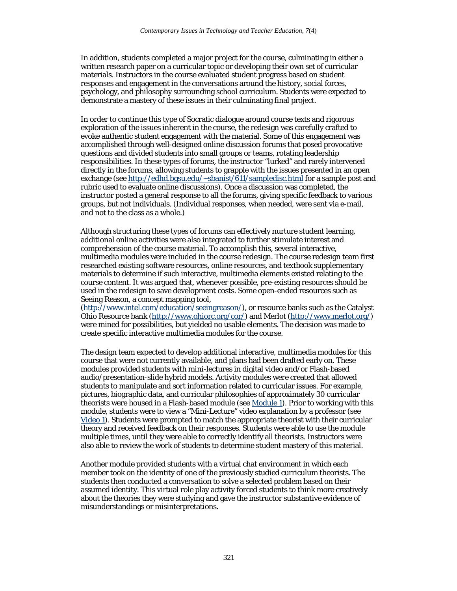In addition, students completed a major project for the course, culminating in either a written research paper on a curricular topic or developing their own set of curricular materials. Instructors in the course evaluated student progress based on student responses and engagement in the conversations around the history, social forces, psychology, and philosophy surrounding school curriculum. Students were expected to demonstrate a mastery of these issues in their culminating final project.

In order to continue this type of Socratic dialogue around course texts and rigorous exploration of the issues inherent in the course, the redesign was carefully crafted to evoke authentic student engagement with the material. Some of this engagement was accomplished through well-designed online discussion forums that posed provocative questions and divided students into small groups or teams, rotating leadership responsibilities. In these types of forums, the instructor "lurked" and rarely intervened directly in the forums, allowing students to grapple with the issues presented in an open exchange (see http://edhd.bgsu.edu/~sbanist/611/sampledisc.html for a sample post and rubric used to evaluate online discussions). Once a discussion was completed, the instructor posted a general response to all the forums, giving specific feedback to various groups, but not individuals. (Individual responses, when needed, were sent via e-mail, and not to the class as a whole.)

Although structuring these types of forums can effectively nurture student learning, additional online activities were also integrated to further stimulate interest and comprehension of the course material. To accomplish this, several interactive, multimedia modules were included in the course redesign. The course redesign team first researched existing software resources, online resources, and textbook supplementary materials to determine if such interactive, multimedia elements existed relating to the course content. It was argued that, whenever possible, pre-existing resources should be used in the redesign to save development costs. Some open-ended resources such as Seeing Reason, a concept mapping tool,

(http://www.intel.com/education/seeingreason/), or resource banks such as the Catalyst Ohio Resource bank (http://www.ohiorc.org/cor/) and Merlot (http://www.merlot.org/) were mined for possibilities, but yielded no usable elements. The decision was made to create specific interactive multimedia modules for the course.

The design team expected to develop additional interactive, multimedia modules for this course that were not currently available, and plans had been drafted early on. These modules provided students with mini-lectures in digital video and/or Flash-based audio/presentation-slide hybrid models. Activity modules were created that allowed students to manipulate and sort information related to curricular issues. For example, pictures, biographic data, and curricular philosophies of approximately 30 curricular theorists were housed in a Flash-based module (see Module 1). Prior to working with this module, students were to view a "Mini-Lecture" video explanation by a professor (see Video 1). Students were prompted to match the appropriate theorist with their curricular theory and received feedback on their responses. Students were able to use the module multiple times, until they were able to correctly identify all theorists. Instructors were also able to review the work of students to determine student mastery of this material.

Another module provided students with a virtual chat environment in which each member took on the identity of one of the previously studied curriculum theorists. The students then conducted a conversation to solve a selected problem based on their assumed identity. This virtual role play activity forced students to think more creatively about the theories they were studying and gave the instructor substantive evidence of misunderstandings or misinterpretations.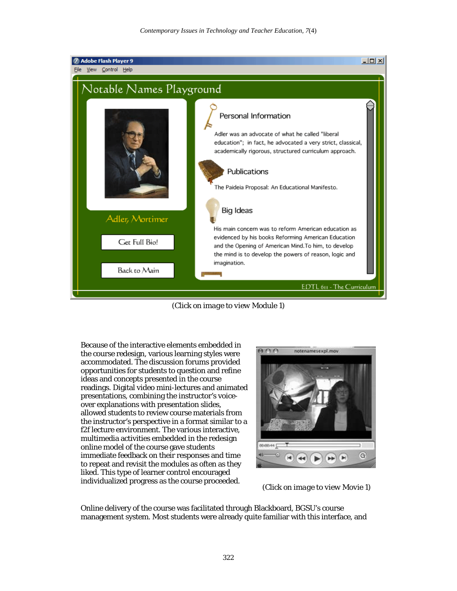

*(Click on image to view Module 1)*

Because of the interactive elements embedded in the course redesign, various learning styles were accommodated. The discussion forums provided opportunities for students to question and refine ideas and concepts presented in the course readings. Digital video mini-lectures and animated presentations, combining the instructor's voiceover explanations with presentation slides, allowed students to review course materials from the instructor's perspective in a format similar to a f2f lecture environment. The various interactive, multimedia activities embedded in the redesign online model of the course gave students immediate feedback on their responses and time to repeat and revisit the modules as often as they liked. This type of learner control encouraged individualized progress as the course proceeded.



*(Click on image to view Movie 1)*

Online delivery of the course was facilitated through Blackboard, BGSU's course management system. Most students were already quite familiar with this interface, and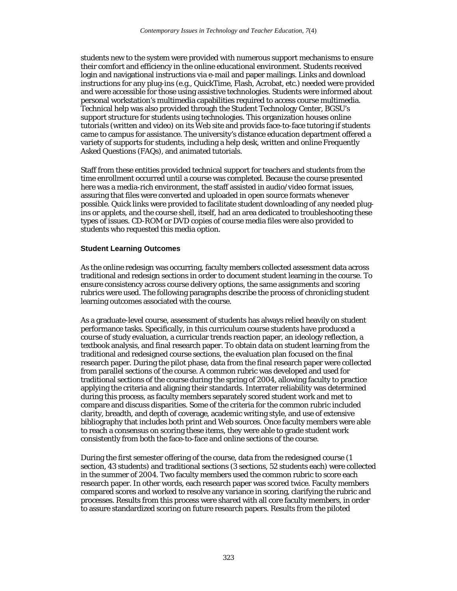students new to the system were provided with numerous support mechanisms to ensure their comfort and efficiency in the online educational environment. Students received login and navigational instructions via e-mail and paper mailings. Links and download instructions for any plug-ins (e.g., QuickTime, Flash, Acrobat, etc.) needed were provided and were accessible for those using assistive technologies. Students were informed about personal workstation's multimedia capabilities required to access course multimedia. Technical help was also provided through the Student Technology Center, BGSU's support structure for students using technologies. This organization houses online tutorials (written and video) on its Web site and provids face-to-face tutoring if students came to campus for assistance. The university's distance education department offered a variety of supports for students, including a help desk, written and online Frequently Asked Questions (FAQs), and animated tutorials.

Staff from these entities provided technical support for teachers and students from the time enrollment occurred until a course was completed. Because the course presented here was a media-rich environment, the staff assisted in audio/video format issues, assuring that files were converted and uploaded in open source formats whenever possible. Quick links were provided to facilitate student downloading of any needed plugins or applets, and the course shell, itself, had an area dedicated to troubleshooting these types of issues. CD-ROM or DVD copies of course media files were also provided to students who requested this media option.

## **Student Learning Outcomes**

As the online redesign was occurring, faculty members collected assessment data across traditional and redesign sections in order to document student learning in the course. To ensure consistency across course delivery options, the same assignments and scoring rubrics were used. The following paragraphs describe the process of chronicling student learning outcomes associated with the course.

As a graduate-level course, assessment of students has always relied heavily on student performance tasks. Specifically, in this curriculum course students have produced a course of study evaluation, a curricular trends reaction paper, an ideology reflection, a textbook analysis, and final research paper. To obtain data on student learning from the traditional and redesigned course sections, the evaluation plan focused on the final research paper. During the pilot phase, data from the final research paper were collected from parallel sections of the course. A common rubric was developed and used for traditional sections of the course during the spring of 2004, allowing faculty to practice applying the criteria and aligning their standards. Interrater reliability was determined during this process, as faculty members separately scored student work and met to compare and discuss disparities. Some of the criteria for the common rubric included clarity, breadth, and depth of coverage, academic writing style, and use of extensive bibliography that includes both print and Web sources. Once faculty members were able to reach a consensus on scoring these items, they were able to grade student work consistently from both the face-to-face and online sections of the course.

During the first semester offering of the course, data from the redesigned course (1 section, 43 students) and traditional sections (3 sections, 52 students each) were collected in the summer of 2004. Two faculty members used the common rubric to score each research paper. In other words, each research paper was scored twice. Faculty members compared scores and worked to resolve any variance in scoring, clarifying the rubric and processes. Results from this process were shared with all core faculty members, in order to assure standardized scoring on future research papers. Results from the piloted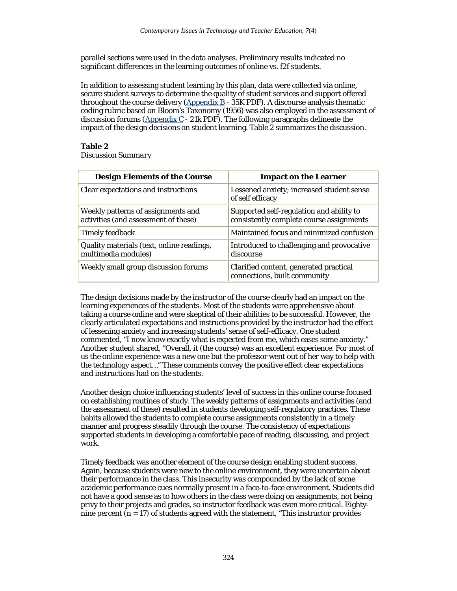parallel sections were used in the data analyses. Preliminary results indicated no significant differences in the learning outcomes of online vs. f2f students.

In addition to assessing student learning by this plan, data were collected via online, secure student surveys to determine the quality of student services and support offered throughout the course delivery  $(Appendix B - 35K PDF)$ . A discourse analysis thematic coding rubric based on Bloom's Taxonomy (1956) was also employed in the assessment of discussion forums ( $\Delta$ ppendix  $C - 21k$  PDF). The following paragraphs delineate the impact of the design decisions on student learning. Table 2 summarizes the discussion.

# **Table 2**

*Discussion Summary*

| <b>Design Elements of the Course</b>                                       | <b>Impact on the Learner</b>                                                         |
|----------------------------------------------------------------------------|--------------------------------------------------------------------------------------|
| Clear expectations and instructions                                        | Lessened anxiety; increased student sense<br>of self efficacy                        |
| Weekly patterns of assignments and<br>activities (and assessment of these) | Supported self-regulation and ability to<br>consistently complete course assignments |
| <b>Timely feedback</b>                                                     | Maintained focus and minimized confusion                                             |
| Quality materials (text, online readings,<br>multimedia modules)           | Introduced to challenging and provocative<br>discourse                               |
| Weekly small group discussion forums                                       | Clarified content, generated practical<br>connections, built community               |

The design decisions made by the instructor of the course clearly had an impact on the learning experiences of the students. Most of the students were apprehensive about taking a course online and were skeptical of their abilities to be successful. However, the clearly articulated expectations and instructions provided by the instructor had the effect of lessening anxiety and increasing students' sense of self-efficacy. One student commented, "I now know exactly what is expected from me, which eases some anxiety." Another student shared, "Overall, it (the course) was an excellent experience. For most of us the online experience was a new one but the professor went out of her way to help with the technology aspect…" These comments convey the positive effect clear expectations and instructions had on the students.

Another design choice influencing students' level of success in this online course focused on establishing routines of study. The weekly patterns of assignments and activities (and the assessment of these) resulted in students developing self-regulatory practices. These habits allowed the students to complete course assignments consistently in a timely manner and progress steadily through the course. The consistency of expectations supported students in developing a comfortable pace of reading, discussing, and project work.

Timely feedback was another element of the course design enabling student success. Again, because students were new to the online environment, they were uncertain about their performance in the class. This insecurity was compounded by the lack of some academic performance cues normally present in a face-to-face environment. Students did not have a good sense as to how others in the class were doing on assignments, not being privy to their projects and grades, so instructor feedback was even more critical. Eightynine percent (*n* = 17) of students agreed with the statement, "This instructor provides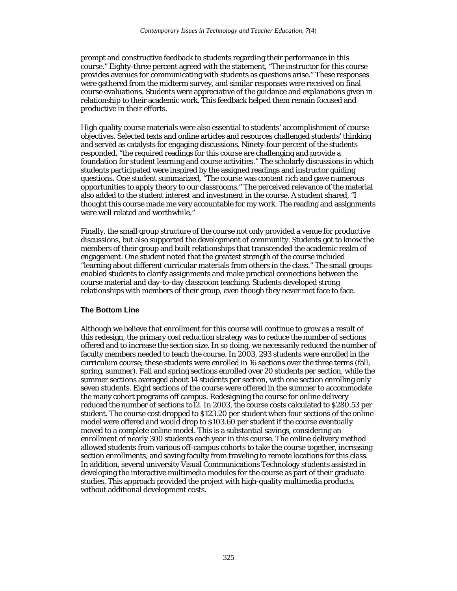prompt and constructive feedback to students regarding their performance in this course." Eighty-three percent agreed with the statement, "The instructor for this course provides avenues for communicating with students as questions arise." These responses were gathered from the midterm survey, and similar responses were received on final course evaluations. Students were appreciative of the guidance and explanations given in relationship to their academic work. This feedback helped them remain focused and productive in their efforts.

High quality course materials were also essential to students' accomplishment of course objectives. Selected texts and online articles and resources challenged students' thinking and served as catalysts for engaging discussions. Ninety-four percent of the students responded, "the required readings for this course are challenging and provide a foundation for student learning and course activities." The scholarly discussions in which students participated were inspired by the assigned readings and instructor guiding questions. One student summarized, "The course was content rich and gave numerous opportunities to apply theory to our classrooms." The perceived relevance of the material also added to the student interest and investment in the course. A student shared, "I thought this course made me very accountable for my work. The reading and assignments were well related and worthwhile."

Finally, the small group structure of the course not only provided a venue for productive discussions, but also supported the development of community. Students got to know the members of their group and built relationships that transcended the academic realm of engagement. One student noted that the greatest strength of the course included "learning about different curricular materials from others in the class." The small groups enabled students to clarify assignments and make practical connections between the course material and day-to-day classroom teaching. Students developed strong relationships with members of their group, even though they never met face to face.

# **The Bottom Line**

Although we believe that enrollment for this course will continue to grow as a result of this redesign, the primary cost reduction strategy was to reduce the number of sections offered and to increase the section size. In so doing, we necessarily reduced the number of faculty members needed to teach the course. In 2003, 293 students were enrolled in the curriculum course; these students were enrolled in 16 sections over the three terms (fall, spring, summer). Fall and spring sections enrolled over 20 students per section, while the summer sections averaged about 14 students per section, with one section enrolling only seven students. Eight sections of the course were offered in the summer to accommodate the many cohort programs off campus. Redesigning the course for online delivery reduced the number of sections to12. In 2003, the course costs calculated to \$280.53 per student. The course cost dropped to \$123.20 per student when four sections of the online model were offered and would drop to \$103.60 per student if the course eventually moved to a complete online model. This is a substantial savings, considering an enrollment of nearly 300 students each year in this course. The online delivery method allowed students from various off-campus cohorts to take the course together, increasing section enrollments, and saving faculty from traveling to remote locations for this class. In addition, several university Visual Communications Technology students assisted in developing the interactive multimedia modules for the course as part of their graduate studies. This approach provided the project with high-quality multimedia products, without additional development costs.